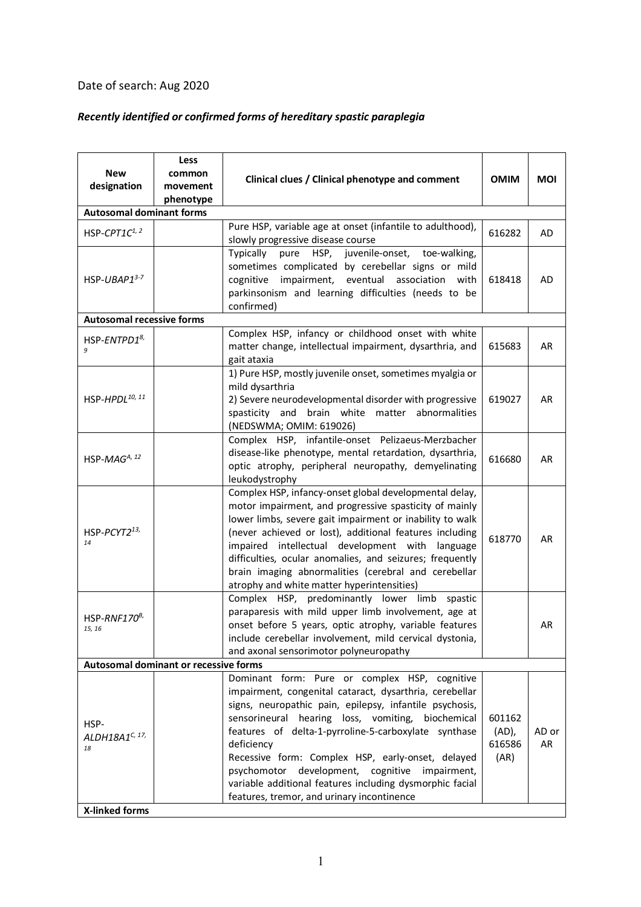## Date of search: Aug 2020

## *Recently identified or confirmed forms of hereditary spastic paraplegia*

| <b>New</b><br>designation                | Less<br>common<br>movement<br>phenotype | Clinical clues / Clinical phenotype and comment                                                                                                                                                                                                                                                                                                                                                                                                                                                                 | <b>OMIM</b>                       | <b>MOI</b>  |  |  |  |
|------------------------------------------|-----------------------------------------|-----------------------------------------------------------------------------------------------------------------------------------------------------------------------------------------------------------------------------------------------------------------------------------------------------------------------------------------------------------------------------------------------------------------------------------------------------------------------------------------------------------------|-----------------------------------|-------------|--|--|--|
| <b>Autosomal dominant forms</b>          |                                         |                                                                                                                                                                                                                                                                                                                                                                                                                                                                                                                 |                                   |             |  |  |  |
| HSP-CPT1C1, 2                            |                                         | Pure HSP, variable age at onset (infantile to adulthood),<br>slowly progressive disease course                                                                                                                                                                                                                                                                                                                                                                                                                  | 616282                            | AD          |  |  |  |
| HSP-UBAP1 $3-7$                          |                                         | Typically pure HSP, juvenile-onset,<br>toe-walking,<br>sometimes complicated by cerebellar signs or mild<br>impairment, eventual<br>cognitive<br>association<br>with<br>parkinsonism and learning difficulties (needs to be<br>confirmed)                                                                                                                                                                                                                                                                       | 618418                            | AD          |  |  |  |
| <b>Autosomal recessive forms</b>         |                                         |                                                                                                                                                                                                                                                                                                                                                                                                                                                                                                                 |                                   |             |  |  |  |
| HSP-ENTPD1 <sup>8,</sup>                 |                                         | Complex HSP, infancy or childhood onset with white<br>matter change, intellectual impairment, dysarthria, and<br>gait ataxia                                                                                                                                                                                                                                                                                                                                                                                    | 615683                            | AR          |  |  |  |
| HSP-HPDL <sup>10, 11</sup>               |                                         | 1) Pure HSP, mostly juvenile onset, sometimes myalgia or<br>mild dysarthria<br>2) Severe neurodevelopmental disorder with progressive<br>spasticity and brain white matter abnormalities<br>(NEDSWMA; OMIM: 619026)                                                                                                                                                                                                                                                                                             | 619027                            | AR          |  |  |  |
| HSP-MA $G^{A, 12}$                       |                                         | Complex HSP, infantile-onset Pelizaeus-Merzbacher<br>disease-like phenotype, mental retardation, dysarthria,<br>optic atrophy, peripheral neuropathy, demyelinating<br>leukodystrophy                                                                                                                                                                                                                                                                                                                           | 616680                            | AR          |  |  |  |
| HSP-PCYT213,<br>14                       |                                         | Complex HSP, infancy-onset global developmental delay,<br>motor impairment, and progressive spasticity of mainly<br>lower limbs, severe gait impairment or inability to walk<br>(never achieved or lost), additional features including<br>impaired intellectual development with language<br>difficulties, ocular anomalies, and seizures; frequently<br>brain imaging abnormalities (cerebral and cerebellar<br>atrophy and white matter hyperintensities)                                                    | 618770                            | AR          |  |  |  |
| HSP-RNF170 <sup>B</sup><br>15, 16        |                                         | Complex HSP, predominantly lower limb<br>spastic<br>paraparesis with mild upper limb involvement, age at<br>onset before 5 years, optic atrophy, variable features<br>include cerebellar involvement, mild cervical dystonia,<br>and axonal sensorimotor polyneuropathy                                                                                                                                                                                                                                         |                                   | AR          |  |  |  |
| Autosomal dominant or recessive forms    |                                         |                                                                                                                                                                                                                                                                                                                                                                                                                                                                                                                 |                                   |             |  |  |  |
| HSP-<br>ALDH18A1 <sup>C, 17,</sup><br>18 |                                         | Dominant form: Pure or complex HSP, cognitive<br>impairment, congenital cataract, dysarthria, cerebellar<br>signs, neuropathic pain, epilepsy, infantile psychosis,<br>sensorineural hearing loss, vomiting, biochemical<br>features of delta-1-pyrroline-5-carboxylate synthase<br>deficiency<br>Recessive form: Complex HSP, early-onset, delayed<br>psychomotor development, cognitive impairment,<br>variable additional features including dysmorphic facial<br>features, tremor, and urinary incontinence | 601162<br>(AD),<br>616586<br>(AR) | AD or<br>AR |  |  |  |
| X-linked forms                           |                                         |                                                                                                                                                                                                                                                                                                                                                                                                                                                                                                                 |                                   |             |  |  |  |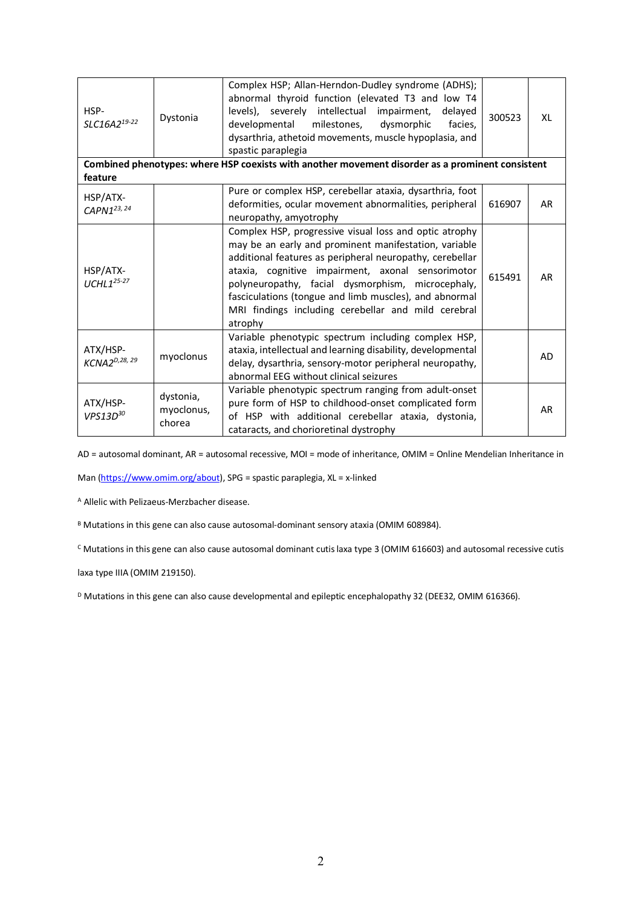| HSP-<br>SLC16A219-22                                                                             | Dystonia                          | Complex HSP; Allan-Herndon-Dudley syndrome (ADHS);<br>abnormal thyroid function (elevated T3 and low T4<br>levels), severely intellectual<br>impairment,<br>delayed<br>milestones,<br>dysmorphic<br>developmental<br>facies,<br>dysarthria, athetoid movements, muscle hypoplasia, and<br>spastic paraplegia                                                                                                      | 300523 | XL        |  |  |  |  |
|--------------------------------------------------------------------------------------------------|-----------------------------------|-------------------------------------------------------------------------------------------------------------------------------------------------------------------------------------------------------------------------------------------------------------------------------------------------------------------------------------------------------------------------------------------------------------------|--------|-----------|--|--|--|--|
| Combined phenotypes: where HSP coexists with another movement disorder as a prominent consistent |                                   |                                                                                                                                                                                                                                                                                                                                                                                                                   |        |           |  |  |  |  |
| feature                                                                                          |                                   |                                                                                                                                                                                                                                                                                                                                                                                                                   |        |           |  |  |  |  |
| HSP/ATX-<br>CAPN1 <sup>23, 24</sup>                                                              |                                   | Pure or complex HSP, cerebellar ataxia, dysarthria, foot<br>deformities, ocular movement abnormalities, peripheral<br>neuropathy, amyotrophy                                                                                                                                                                                                                                                                      | 616907 | <b>AR</b> |  |  |  |  |
| HSP/ATX-<br>$UCHL125-27$                                                                         |                                   | Complex HSP, progressive visual loss and optic atrophy<br>may be an early and prominent manifestation, variable<br>additional features as peripheral neuropathy, cerebellar<br>ataxia, cognitive impairment, axonal sensorimotor<br>polyneuropathy, facial dysmorphism, microcephaly,<br>fasciculations (tongue and limb muscles), and abnormal<br>MRI findings including cerebellar and mild cerebral<br>atrophy | 615491 | <b>AR</b> |  |  |  |  |
| ATX/HSP-<br>KCNA2 <sup>D,28, 29</sup>                                                            | myoclonus                         | Variable phenotypic spectrum including complex HSP,<br>ataxia, intellectual and learning disability, developmental<br>delay, dysarthria, sensory-motor peripheral neuropathy,<br>abnormal EEG without clinical seizures                                                                                                                                                                                           |        | <b>AD</b> |  |  |  |  |
| ATX/HSP-<br>$VPS13D^{30}$                                                                        | dystonia,<br>myoclonus,<br>chorea | Variable phenotypic spectrum ranging from adult-onset<br>pure form of HSP to childhood-onset complicated form<br>of HSP with additional cerebellar ataxia, dystonia,<br>cataracts, and chorioretinal dystrophy                                                                                                                                                                                                    |        | <b>AR</b> |  |  |  |  |

AD = autosomal dominant, AR = autosomal recessive, MOI = mode of inheritance, OMIM = Online Mendelian Inheritance in

Man (https://www.omim.org/about), SPG = spastic paraplegia, XL = x-linked

<sup>A</sup> Allelic with Pelizaeus-Merzbacher disease.

B Mutations in this gene can also cause autosomal-dominant sensory ataxia (OMIM 608984).

<sup>C</sup> Mutations in this gene can also cause autosomal dominant cutis laxa type 3 (OMIM 616603) and autosomal recessive cutis

laxa type IIIA (OMIM 219150).

D Mutations in this gene can also cause developmental and epileptic encephalopathy 32 (DEE32, OMIM 616366).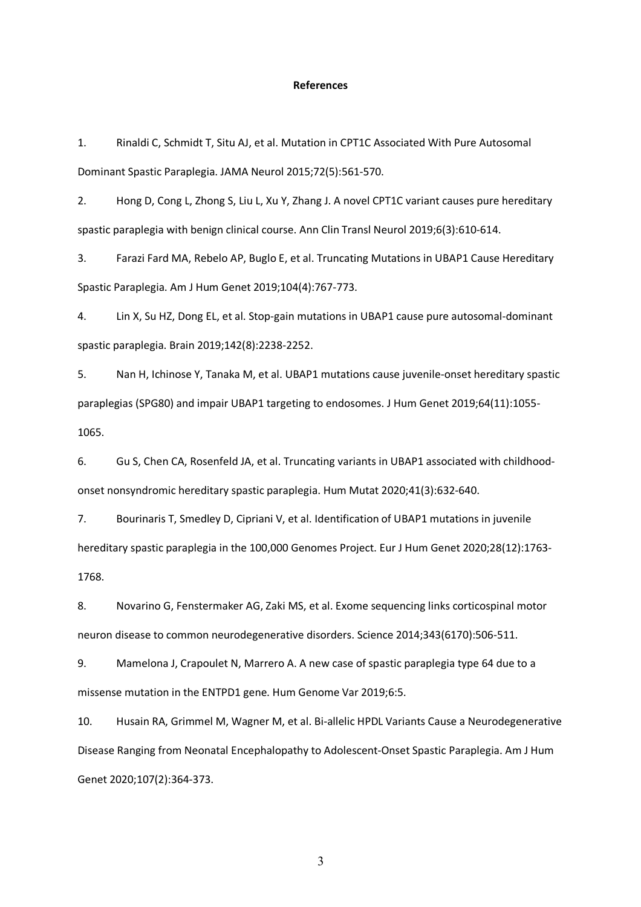## **References**

1. Rinaldi C, Schmidt T, Situ AJ, et al. Mutation in CPT1C Associated With Pure Autosomal Dominant Spastic Paraplegia. JAMA Neurol 2015;72(5):561-570.

2. Hong D, Cong L, Zhong S, Liu L, Xu Y, Zhang J. A novel CPT1C variant causes pure hereditary spastic paraplegia with benign clinical course. Ann Clin Transl Neurol 2019;6(3):610-614.

3. Farazi Fard MA, Rebelo AP, Buglo E, et al. Truncating Mutations in UBAP1 Cause Hereditary Spastic Paraplegia. Am J Hum Genet 2019;104(4):767-773.

4. Lin X, Su HZ, Dong EL, et al. Stop-gain mutations in UBAP1 cause pure autosomal-dominant spastic paraplegia. Brain 2019;142(8):2238-2252.

5. Nan H, Ichinose Y, Tanaka M, et al. UBAP1 mutations cause juvenile-onset hereditary spastic paraplegias (SPG80) and impair UBAP1 targeting to endosomes. J Hum Genet 2019;64(11):1055- 1065.

6. Gu S, Chen CA, Rosenfeld JA, et al. Truncating variants in UBAP1 associated with childhoodonset nonsyndromic hereditary spastic paraplegia. Hum Mutat 2020;41(3):632-640.

7. Bourinaris T, Smedley D, Cipriani V, et al. Identification of UBAP1 mutations in juvenile hereditary spastic paraplegia in the 100,000 Genomes Project. Eur J Hum Genet 2020;28(12):1763- 1768.

8. Novarino G, Fenstermaker AG, Zaki MS, et al. Exome sequencing links corticospinal motor neuron disease to common neurodegenerative disorders. Science 2014;343(6170):506-511.

9. Mamelona J, Crapoulet N, Marrero A. A new case of spastic paraplegia type 64 due to a missense mutation in the ENTPD1 gene. Hum Genome Var 2019;6:5.

10. Husain RA, Grimmel M, Wagner M, et al. Bi-allelic HPDL Variants Cause a Neurodegenerative Disease Ranging from Neonatal Encephalopathy to Adolescent-Onset Spastic Paraplegia. Am J Hum Genet 2020;107(2):364-373.

3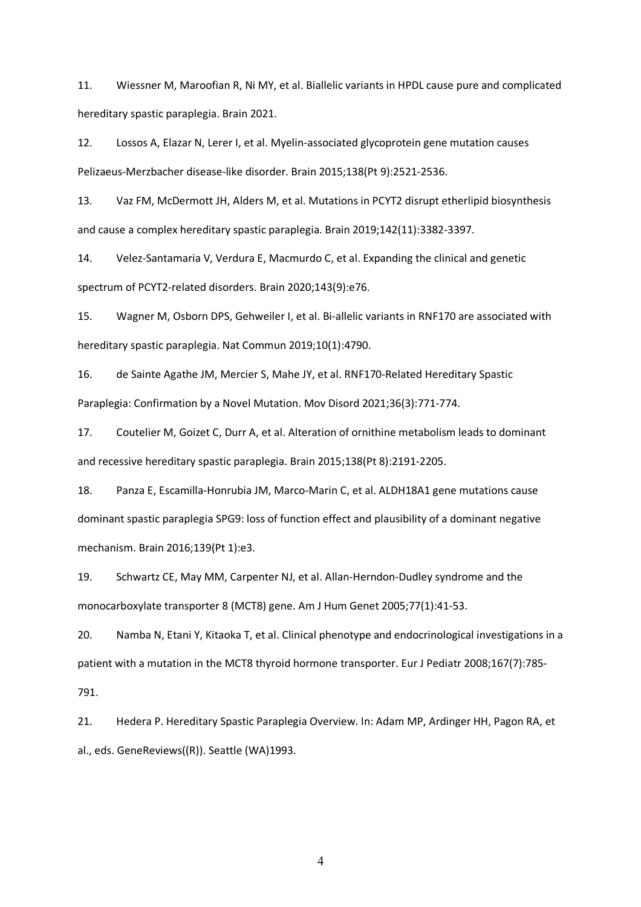11. Wiessner M, Maroofian R, Ni MY, et al. Biallelic variants in HPDL cause pure and complicated hereditary spastic paraplegia. Brain 2021.

12. Lossos A, Elazar N, Lerer I, et al. Myelin-associated glycoprotein gene mutation causes Pelizaeus-Merzbacher disease-like disorder. Brain 2015;138(Pt 9):2521-2536.

13. Vaz FM, McDermott JH, Alders M, et al. Mutations in PCYT2 disrupt etherlipid biosynthesis and cause a complex hereditary spastic paraplegia. Brain 2019;142(11):3382-3397.

14. Velez-Santamaria V, Verdura E, Macmurdo C, et al. Expanding the clinical and genetic spectrum of PCYT2-related disorders. Brain 2020;143(9):e76.

15. Wagner M, Osborn DPS, Gehweiler I, et al. Bi-allelic variants in RNF170 are associated with hereditary spastic paraplegia. Nat Commun 2019;10(1):4790.

16. de Sainte Agathe JM, Mercier S, Mahe JY, et al. RNF170-Related Hereditary Spastic Paraplegia: Confirmation by a Novel Mutation. Mov Disord 2021;36(3):771-774.

17. Coutelier M, Goizet C, Durr A, et al. Alteration of ornithine metabolism leads to dominant and recessive hereditary spastic paraplegia. Brain 2015;138(Pt 8):2191-2205.

18. Panza E, Escamilla-Honrubia JM, Marco-Marin C, et al. ALDH18A1 gene mutations cause dominant spastic paraplegia SPG9: loss of function effect and plausibility of a dominant negative mechanism. Brain 2016;139(Pt 1):e3.

19. Schwartz CE, May MM, Carpenter NJ, et al. Allan-Herndon-Dudley syndrome and the monocarboxylate transporter 8 (MCT8) gene. Am J Hum Genet 2005;77(1):41-53.

20. Namba N, Etani Y, Kitaoka T, et al. Clinical phenotype and endocrinological investigations in a patient with a mutation in the MCT8 thyroid hormone transporter. Eur J Pediatr 2008;167(7):785-

791.

21. Hedera P. Hereditary Spastic Paraplegia Overview. In: Adam MP, Ardinger HH, Pagon RA, et al., eds. GeneReviews((R)). Seattle (WA)1993.

4